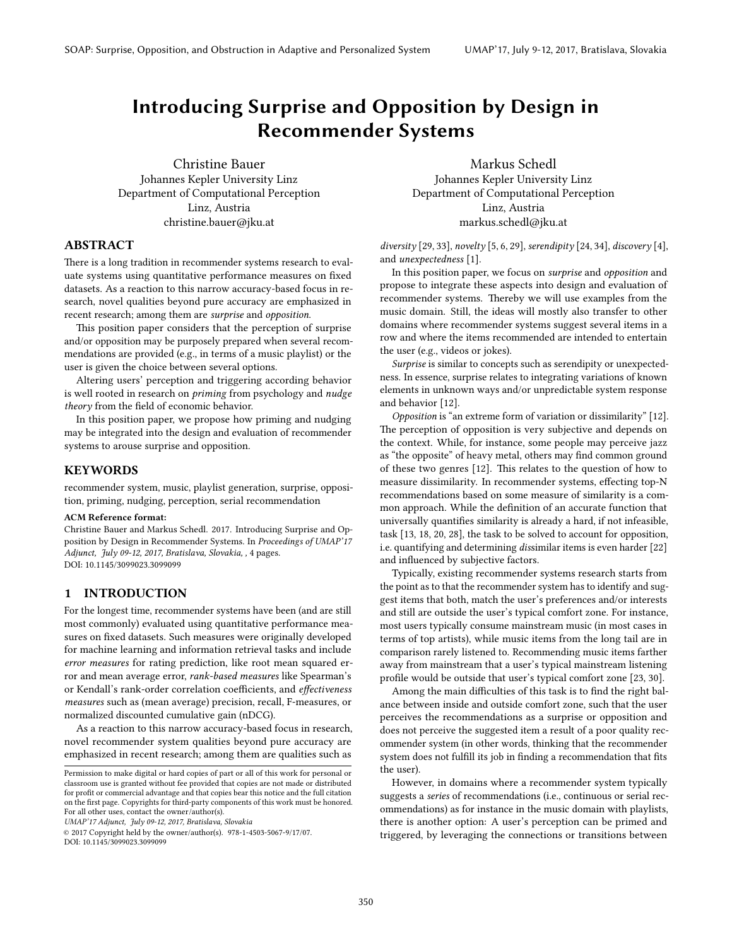# Introducing Surprise and Opposition by Design in Recommender Systems

Christine Bauer Johannes Kepler University Linz Department of Computational Perception Linz, Austria christine.bauer@jku.at

## ABSTRACT

There is a long tradition in recommender systems research to evaluate systems using quantitative performance measures on fixed datasets. As a reaction to this narrow accuracy-based focus in research, novel qualities beyond pure accuracy are emphasized in recent research; among them are surprise and opposition.

This position paper considers that the perception of surprise and/or opposition may be purposely prepared when several recommendations are provided (e.g., in terms of a music playlist) or the user is given the choice between several options.

Altering users' perception and triggering according behavior is well rooted in research on priming from psychology and nudge theory from the field of economic behavior.

In this position paper, we propose how priming and nudging may be integrated into the design and evaluation of recommender systems to arouse surprise and opposition.

#### KEYWORDS

recommender system, music, playlist generation, surprise, opposition, priming, nudging, perception, serial recommendation

#### ACM Reference format:

Christine Bauer and Markus Schedl. 2017. Introducing Surprise and Opposition by Design in Recommender Systems. In Proceedings of UMAP'17 Adjunct, July 09-12, 2017, Bratislava, Slovakia, , [4](#page-3-0) pages. DOI: 10.1145/3099023.3099099

# 1 INTRODUCTION

For the longest time, recommender systems have been (and are still most commonly) evaluated using quantitative performance measures on fixed datasets. Such measures were originally developed for machine learning and information retrieval tasks and include error measures for rating prediction, like root mean squared error and mean average error, rank-based measures like Spearman's or Kendall's rank-order correlation coefficients, and effectiveness measures such as (mean average) precision, recall, F-measures, or normalized discounted cumulative gain (nDCG).

As a reaction to this narrow accuracy-based focus in research, novel recommender system qualities beyond pure accuracy are emphasized in recent research; among them are qualities such as

UMAP'17 Adjunct, July 09-12, 2017, Bratislava, Slovakia

DOI: 10.1145/3099023.3099099

Markus Schedl Johannes Kepler University Linz Department of Computational Perception Linz, Austria markus.schedl@jku.at

diversity [\[29,](#page-3-1) [33\]](#page-3-2), novelty [\[5,](#page-3-3) [6,](#page-3-4) [29\]](#page-3-1), serendipity [\[24,](#page-3-5) [34\]](#page-3-6), discovery [\[4\]](#page-2-0), and unexpectedness [\[1\]](#page-2-1).

In this position paper, we focus on surprise and opposition and propose to integrate these aspects into design and evaluation of recommender systems. Thereby we will use examples from the music domain. Still, the ideas will mostly also transfer to other domains where recommender systems suggest several items in a row and where the items recommended are intended to entertain the user (e.g., videos or jokes).

Surprise is similar to concepts such as serendipity or unexpectedness. In essence, surprise relates to integrating variations of known elements in unknown ways and/or unpredictable system response and behavior [\[12\]](#page-3-7).

Opposition is "an extreme form of variation or dissimilarity" [\[12\]](#page-3-7). The perception of opposition is very subjective and depends on the context. While, for instance, some people may perceive jazz as "the opposite" of heavy metal, others may find common ground of these two genres [\[12\]](#page-3-7). This relates to the question of how to measure dissimilarity. In recommender systems, effecting top-N recommendations based on some measure of similarity is a common approach. While the definition of an accurate function that universally quantifies similarity is already a hard, if not infeasible, task [\[13,](#page-3-8) [18,](#page-3-9) [20,](#page-3-10) [28\]](#page-3-11), the task to be solved to account for opposition, i.e. quantifying and determining dissimilar items is even harder [\[22\]](#page-3-12) and influenced by subjective factors.

Typically, existing recommender systems research starts from the point as to that the recommender system has to identify and suggest items that both, match the user's preferences and/or interests and still are outside the user's typical comfort zone. For instance, most users typically consume mainstream music (in most cases in terms of top artists), while music items from the long tail are in comparison rarely listened to. Recommending music items farther away from mainstream that a user's typical mainstream listening profile would be outside that user's typical comfort zone [\[23,](#page-3-13) [30\]](#page-3-14).

Among the main difficulties of this task is to find the right balance between inside and outside comfort zone, such that the user perceives the recommendations as a surprise or opposition and does not perceive the suggested item a result of a poor quality recommender system (in other words, thinking that the recommender system does not fulfill its job in finding a recommendation that fits the user).

However, in domains where a recommender system typically suggests a series of recommendations (i.e., continuous or serial recommendations) as for instance in the music domain with playlists, there is another option: A user's perception can be primed and triggered, by leveraging the connections or transitions between

Permission to make digital or hard copies of part or all of this work for personal or classroom use is granted without fee provided that copies are not made or distributed for profit or commercial advantage and that copies bear this notice and the full citation on the first page. Copyrights for third-party components of this work must be honored. For all other uses, contact the owner/author(s).

<sup>©</sup> 2017 Copyright held by the owner/author(s). 978-1-4503-5067-9/17/07.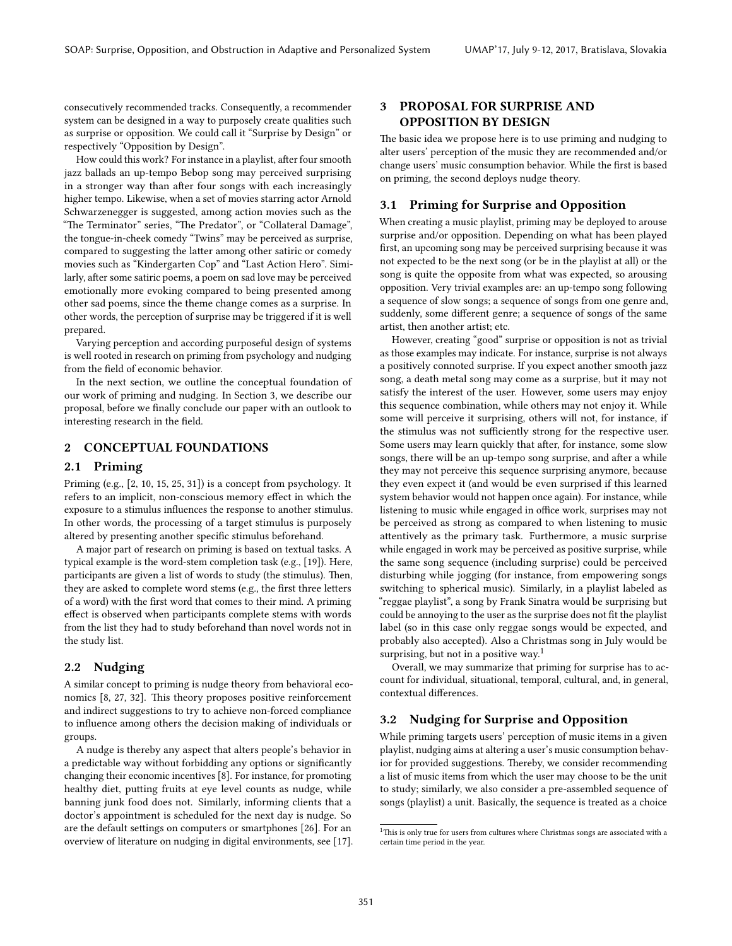consecutively recommended tracks. Consequently, a recommender system can be designed in a way to purposely create qualities such as surprise or opposition. We could call it "Surprise by Design" or respectively "Opposition by Design".

How could this work? For instance in a playlist, after four smooth jazz ballads an up-tempo Bebop song may perceived surprising in a stronger way than after four songs with each increasingly higher tempo. Likewise, when a set of movies starring actor Arnold Schwarzenegger is suggested, among action movies such as the "The Terminator" series, "The Predator", or "Collateral Damage", the tongue-in-cheek comedy "Twins" may be perceived as surprise, compared to suggesting the latter among other satiric or comedy movies such as "Kindergarten Cop" and "Last Action Hero". Similarly, after some satiric poems, a poem on sad love may be perceived emotionally more evoking compared to being presented among other sad poems, since the theme change comes as a surprise. In other words, the perception of surprise may be triggered if it is well prepared.

Varying perception and according purposeful design of systems is well rooted in research on priming from psychology and nudging from the field of economic behavior.

In the next section, we outline the conceptual foundation of our work of priming and nudging. In Section [3,](#page-1-0) we describe our proposal, before we finally conclude our paper with an outlook to interesting research in the field.

# 2 CONCEPTUAL FOUNDATIONS

## 2.1 Priming

Priming (e.g., [\[2,](#page-2-2) [10,](#page-3-15) [15,](#page-3-16) [25,](#page-3-17) [31\]](#page-3-18)) is a concept from psychology. It refers to an implicit, non-conscious memory effect in which the exposure to a stimulus influences the response to another stimulus. In other words, the processing of a target stimulus is purposely altered by presenting another specific stimulus beforehand.

A major part of research on priming is based on textual tasks. A typical example is the word-stem completion task (e.g., [\[19\]](#page-3-19)). Here, participants are given a list of words to study (the stimulus). Then, they are asked to complete word stems (e.g., the first three letters of a word) with the first word that comes to their mind. A priming effect is observed when participants complete stems with words from the list they had to study beforehand than novel words not in the study list.

## 2.2 Nudging

A similar concept to priming is nudge theory from behavioral economics  $[8, 27, 32]$  $[8, 27, 32]$  $[8, 27, 32]$  $[8, 27, 32]$  $[8, 27, 32]$ . This theory proposes positive reinforcement and indirect suggestions to try to achieve non-forced compliance to influence among others the decision making of individuals or groups.

A nudge is thereby any aspect that alters people's behavior in a predictable way without forbidding any options or signicantly changing their economic incentives [\[8\]](#page-3-20). For instance, for promoting healthy diet, putting fruits at eye level counts as nudge, while banning junk food does not. Similarly, informing clients that a doctor's appointment is scheduled for the next day is nudge. So are the default settings on computers or smartphones [\[26\]](#page-3-23). For an overview of literature on nudging in digital environments, see [\[17\]](#page-3-24).

# <span id="page-1-0"></span>3 PROPOSAL FOR SURPRISE AND OPPOSITION BY DESIGN

The basic idea we propose here is to use priming and nudging to alter users' perception of the music they are recommended and/or change users' music consumption behavior. While the first is based on priming, the second deploys nudge theory.

## 3.1 Priming for Surprise and Opposition

When creating a music playlist, priming may be deployed to arouse surprise and/or opposition. Depending on what has been played first, an upcoming song may be perceived surprising because it was not expected to be the next song (or be in the playlist at all) or the song is quite the opposite from what was expected, so arousing opposition. Very trivial examples are: an up-tempo song following a sequence of slow songs; a sequence of songs from one genre and, suddenly, some different genre; a sequence of songs of the same artist, then another artist; etc.

However, creating "good" surprise or opposition is not as trivial as those examples may indicate. For instance, surprise is not always a positively connoted surprise. If you expect another smooth jazz song, a death metal song may come as a surprise, but it may not satisfy the interest of the user. However, some users may enjoy this sequence combination, while others may not enjoy it. While some will perceive it surprising, others will not, for instance, if the stimulus was not sufficiently strong for the respective user. Some users may learn quickly that after, for instance, some slow songs, there will be an up-tempo song surprise, and after a while they may not perceive this sequence surprising anymore, because they even expect it (and would be even surprised if this learned system behavior would not happen once again). For instance, while listening to music while engaged in office work, surprises may not be perceived as strong as compared to when listening to music attentively as the primary task. Furthermore, a music surprise while engaged in work may be perceived as positive surprise, while the same song sequence (including surprise) could be perceived disturbing while jogging (for instance, from empowering songs switching to spherical music). Similarly, in a playlist labeled as "reggae playlist", a song by Frank Sinatra would be surprising but could be annoying to the user as the surprise does not fit the playlist label (so in this case only reggae songs would be expected, and probably also accepted). Also a Christmas song in July would be surprising, but not in a positive way.<sup>[1](#page-1-1)</sup>

Overall, we may summarize that priming for surprise has to account for individual, situational, temporal, cultural, and, in general, contextual differences.

# 3.2 Nudging for Surprise and Opposition

While priming targets users' perception of music items in a given playlist, nudging aims at altering a user's music consumption behavior for provided suggestions. Thereby, we consider recommending a list of music items from which the user may choose to be the unit to study; similarly, we also consider a pre-assembled sequence of songs (playlist) a unit. Basically, the sequence is treated as a choice

<span id="page-1-1"></span> $1$ This is only true for users from cultures where Christmas songs are associated with a certain time period in the year.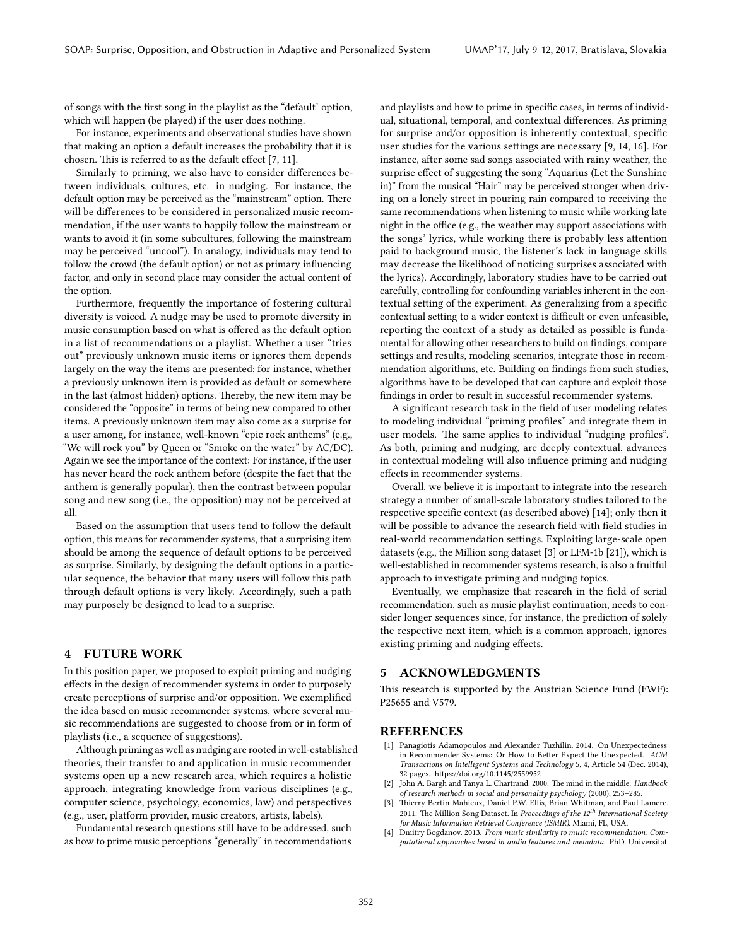of songs with the first song in the playlist as the "default' option, which will happen (be played) if the user does nothing.

For instance, experiments and observational studies have shown that making an option a default increases the probability that it is chosen. This is referred to as the default effect  $[7, 11]$  $[7, 11]$ .

Similarly to priming, we also have to consider differences between individuals, cultures, etc. in nudging. For instance, the default option may be perceived as the "mainstream" option. There will be differences to be considered in personalized music recommendation, if the user wants to happily follow the mainstream or wants to avoid it (in some subcultures, following the mainstream may be perceived "uncool"). In analogy, individuals may tend to follow the crowd (the default option) or not as primary influencing factor, and only in second place may consider the actual content of the option.

Furthermore, frequently the importance of fostering cultural diversity is voiced. A nudge may be used to promote diversity in music consumption based on what is offered as the default option in a list of recommendations or a playlist. Whether a user "tries out" previously unknown music items or ignores them depends largely on the way the items are presented; for instance, whether a previously unknown item is provided as default or somewhere in the last (almost hidden) options. Thereby, the new item may be considered the "opposite" in terms of being new compared to other items. A previously unknown item may also come as a surprise for a user among, for instance, well-known "epic rock anthems" (e.g., "We will rock you" by Queen or "Smoke on the water" by AC/DC). Again we see the importance of the context: For instance, if the user has never heard the rock anthem before (despite the fact that the anthem is generally popular), then the contrast between popular song and new song (i.e., the opposition) may not be perceived at all.

Based on the assumption that users tend to follow the default option, this means for recommender systems, that a surprising item should be among the sequence of default options to be perceived as surprise. Similarly, by designing the default options in a particular sequence, the behavior that many users will follow this path through default options is very likely. Accordingly, such a path may purposely be designed to lead to a surprise.

#### 4 FUTURE WORK

In this position paper, we proposed to exploit priming and nudging effects in the design of recommender systems in order to purposely create perceptions of surprise and/or opposition. We exemplified the idea based on music recommender systems, where several music recommendations are suggested to choose from or in form of playlists (i.e., a sequence of suggestions).

Although priming as well as nudging are rooted in well-established theories, their transfer to and application in music recommender systems open up a new research area, which requires a holistic approach, integrating knowledge from various disciplines (e.g., computer science, psychology, economics, law) and perspectives (e.g., user, platform provider, music creators, artists, labels).

Fundamental research questions still have to be addressed, such as how to prime music perceptions "generally" in recommendations and playlists and how to prime in specific cases, in terms of individual, situational, temporal, and contextual differences. As priming for surprise and/or opposition is inherently contextual, specific user studies for the various settings are necessary  $[9, 14, 16]$  $[9, 14, 16]$  $[9, 14, 16]$  $[9, 14, 16]$  $[9, 14, 16]$ . For instance, after some sad songs associated with rainy weather, the surprise effect of suggesting the song "Aquarius (Let the Sunshine in)" from the musical "Hair" may be perceived stronger when driving on a lonely street in pouring rain compared to receiving the same recommendations when listening to music while working late night in the office (e.g., the weather may support associations with the songs' lyrics, while working there is probably less attention paid to background music, the listener's lack in language skills may decrease the likelihood of noticing surprises associated with the lyrics). Accordingly, laboratory studies have to be carried out carefully, controlling for confounding variables inherent in the contextual setting of the experiment. As generalizing from a specific contextual setting to a wider context is difficult or even unfeasible, reporting the context of a study as detailed as possible is fundamental for allowing other researchers to build on findings, compare settings and results, modeling scenarios, integrate those in recommendation algorithms, etc. Building on findings from such studies, algorithms have to be developed that can capture and exploit those findings in order to result in successful recommender systems.

A significant research task in the field of user modeling relates to modeling individual "priming profiles" and integrate them in user models. The same applies to individual "nudging profiles". As both, priming and nudging, are deeply contextual, advances in contextual modeling will also influence priming and nudging effects in recommender systems.

Overall, we believe it is important to integrate into the research strategy a number of small-scale laboratory studies tailored to the respective specific context (as described above) [\[14\]](#page-3-28); only then it will be possible to advance the research field with field studies in real-world recommendation settings. Exploiting large-scale open datasets (e.g., the Million song dataset [\[3\]](#page-2-3) or LFM-1b [\[21\]](#page-3-30)), which is well-established in recommender systems research, is also a fruitful approach to investigate priming and nudging topics.

Eventually, we emphasize that research in the field of serial recommendation, such as music playlist continuation, needs to consider longer sequences since, for instance, the prediction of solely the respective next item, which is a common approach, ignores existing priming and nudging effects.

#### 5 ACKNOWLEDGMENTS

This research is supported by the Austrian Science Fund (FWF): P25655 and V579.

#### REFERENCES

- <span id="page-2-1"></span>[1] Panagiotis Adamopoulos and Alexander Tuzhilin. 2014. On Unexpectedness in Recommender Systems: Or How to Better Expect the Unexpected. ACM Transactions on Intelligent Systems and Technology 5, 4, Article 54 (Dec. 2014), 32 pages. https://doi.org/10.1145/2559952
- <span id="page-2-2"></span>John A. Bargh and Tanya L. Chartrand. 2000. The mind in the middle. Handbook of research methods in social and personality psychology (2000), 253–285.
- <span id="page-2-3"></span>[3] Thierry Bertin-Mahieux, Daniel P.W. Ellis, Brian Whitman, and Paul Lamere. 2011. The Million Song Dataset. In Proceedings of the  $12^{th}$  International Society for Music Information Retrieval Conference (ISMIR). Miami, FL, USA.
- <span id="page-2-0"></span>Dmitry Bogdanov. 2013. From music similarity to music recommendation: Computational approaches based in audio features and metadata. PhD. Universitat